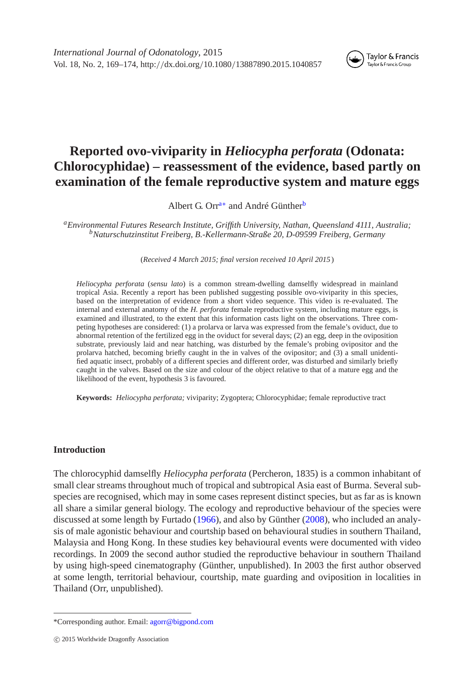

# **Reported ovo-viviparity in** *Heliocypha perforata* **(Odonata: Chlorocyphidae) – reassessment of the evidence, based partly on examination of the female reproductive system and mature eggs**

Albert G. Orr<sup>[a](#page-0-0)[∗](#page-0-1)</sup> and André Günther<sup>[b](#page-0-2)</sup>

<span id="page-0-2"></span><span id="page-0-0"></span>*aEnvironmental Futures Research Institute, Griffith University, Nathan, Queensland 4111, Australia; bNaturschutzinstitut Freiberg, B.-Kellermann-Straße 20, D-09599 Freiberg, Germany*

(*Received 4 March 2015; final version received 10 April 2015* )

*Heliocypha perforata* (*sensu lato*) is a common stream-dwelling damselfly widespread in mainland tropical Asia. Recently a report has been published suggesting possible ovo-viviparity in this species, based on the interpretation of evidence from a short video sequence. This video is re-evaluated. The internal and external anatomy of the *H. perforata* female reproductive system, including mature eggs, is examined and illustrated, to the extent that this information casts light on the observations. Three competing hypotheses are considered: (1) a prolarva or larva was expressed from the female's oviduct, due to abnormal retention of the fertilized egg in the oviduct for several days; (2) an egg, deep in the oviposition substrate, previously laid and near hatching, was disturbed by the female's probing ovipositor and the prolarva hatched, becoming briefly caught in the in valves of the ovipositor; and (3) a small unidentified aquatic insect, probably of a different species and different order, was disturbed and similarly briefly caught in the valves. Based on the size and colour of the object relative to that of a mature egg and the likelihood of the event, hypothesis 3 is favoured.

**Keywords:** *Heliocypha perforata;* viviparity; Zygoptera; Chlorocyphidae; female reproductive tract

## **Introduction**

The chlorocyphid damselfly *Heliocypha perforata* (Percheron, 1835) is a common inhabitant of small clear streams throughout much of tropical and subtropical Asia east of Burma. Several subspecies are recognised, which may in some cases represent distinct species, but as far as is known all share a similar general biology. The ecology and reproductive behaviour of the species were discussed at some length by Furtado [\(1966\)](#page-5-0), and also by Günther [\(2008\)](#page-5-1), who included an analysis of male agonistic behaviour and courtship based on behavioural studies in southern Thailand, Malaysia and Hong Kong. In these studies key behavioural events were documented with video recordings. In 2009 the second author studied the reproductive behaviour in southern Thailand by using high-speed cinematography (Günther, unpublished). In 2003 the first author observed at some length, territorial behaviour, courtship, mate guarding and oviposition in localities in Thailand (Orr, unpublished).

<span id="page-0-1"></span><sup>\*</sup>Corresponding author. Email: [agorr@bigpond.com](mailto:agorr@bigpond.com)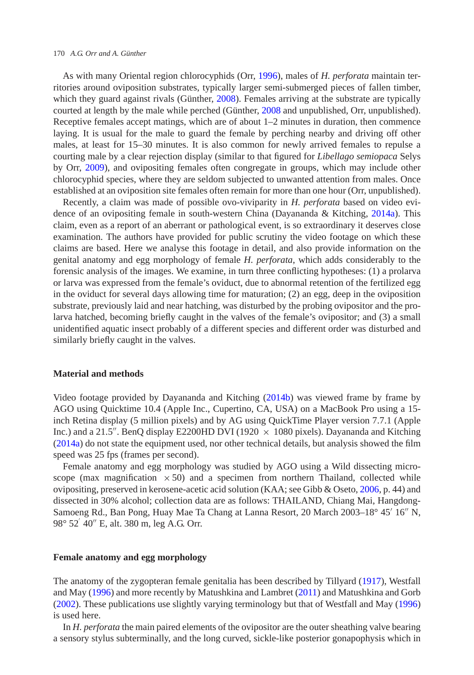#### 170 *A.G. Orr and A. Günther*

As with many Oriental region chlorocyphids (Orr, [1996\)](#page-5-2), males of *H. perforata* maintain territories around oviposition substrates, typically larger semi-submerged pieces of fallen timber, which they guard against rivals (Günther, [2008\)](#page-5-1). Females arriving at the substrate are typically courted at length by the male while perched (Günther, [2008](#page-5-1) and unpublished, Orr, unpublished). Receptive females accept matings, which are of about  $1-2$  minutes in duration, then commence laying. It is usual for the male to guard the female by perching nearby and driving off other males, at least for 15–30 minutes. It is also common for newly arrived females to repulse a courting male by a clear rejection display (similar to that figured for *Libellago semiopaca* Selys by Orr, [2009\)](#page-5-3), and ovipositing females often congregate in groups, which may include other chlorocyphid species, where they are seldom subjected to unwanted attention from males. Once established at an oviposition site females often remain for more than one hour (Orr, unpublished).

Recently, a claim was made of possible ovo-viviparity in *H. perforata* based on video evidence of an ovipositing female in south-western China (Dayananda & Kitching, [2014a\)](#page-5-4). This claim, even as a report of an aberrant or pathological event, is so extraordinary it deserves close examination. The authors have provided for public scrutiny the video footage on which these claims are based. Here we analyse this footage in detail, and also provide information on the genital anatomy and egg morphology of female *H. perforata*, which adds considerably to the forensic analysis of the images. We examine, in turn three conflicting hypotheses: (1) a prolarva or larva was expressed from the female's oviduct, due to abnormal retention of the fertilized egg in the oviduct for several days allowing time for maturation; (2) an egg, deep in the oviposition substrate, previously laid and near hatching, was disturbed by the probing ovipositor and the prolarva hatched, becoming briefly caught in the valves of the female's ovipositor; and (3) a small unidentified aquatic insect probably of a different species and different order was disturbed and similarly briefly caught in the valves.

## **Material and methods**

Video footage provided by Dayananda and Kitching [\(2014b\)](#page-5-5) was viewed frame by frame by AGO using Quicktime 10.4 (Apple Inc., Cupertino, CA, USA) on a MacBook Pro using a 15 inch Retina display (5 million pixels) and by AG using QuickTime Player version 7.7.1 (Apple Inc.) and a 21.5". BenQ display E2200HD DVI (1920  $\times$  1080 pixels). Dayananda and Kitching [\(2014a\)](#page-5-4) do not state the equipment used, nor other technical details, but analysis showed the film speed was 25 fps (frames per second).

Female anatomy and egg morphology was studied by AGO using a Wild dissecting microscope (max magnification  $\times$  50) and a specimen from northern Thailand, collected while ovipositing, preserved in kerosene-acetic acid solution (KAA; see Gibb & Oseto, [2006,](#page-5-6) p. 44) and dissected in 30% alcohol; collection data are as follows: THAILAND, Chiang Mai, Hangdong-Samoeng Rd., Ban Pong, Huay Mae Ta Chang at Lanna Resort, 20 March 2003–18° 45' 16" N, 98° 52′ 40″ E, alt. 380 m, leg A.G. Orr.

# **Female anatomy and egg morphology**

The anatomy of the zygopteran female genitalia has been described by Tillyard [\(1917\)](#page-5-7), Westfall and May [\(1996\)](#page-5-8) and more recently by Matushkina and Lambret [\(2011\)](#page-5-9) and Matushkina and Gorb [\(2002\)](#page-5-10). These publications use slightly varying terminology but that of Westfall and May [\(1996\)](#page-5-8) is used here.

In *H. perforata* the main paired elements of the ovipositor are the outer sheathing valve bearing a sensory stylus subterminally, and the long curved, sickle-like posterior gonapophysis which in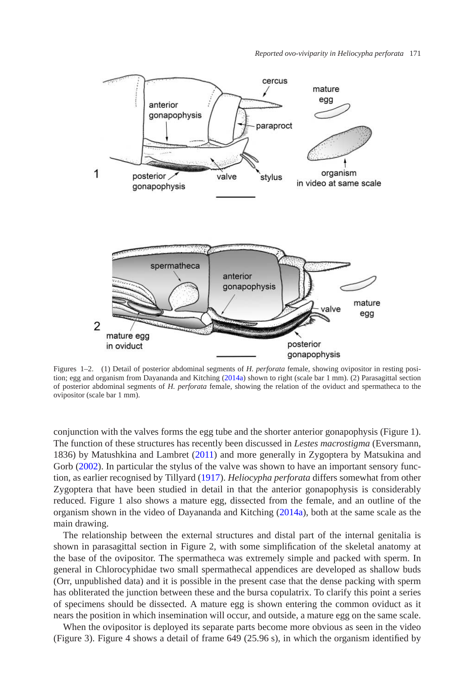

Figures 1–2. (1) Detail of posterior abdominal segments of *H. perforata* female, showing ovipositor in resting position; egg and organism from Dayananda and Kitching [\(2014a\)](#page-5-4) shown to right (scale bar 1 mm). (2) Parasagittal section of posterior abdominal segments of *H. perforata* female, showing the relation of the oviduct and spermatheca to the ovipositor (scale bar 1 mm).

conjunction with the valves forms the egg tube and the shorter anterior gonapophysis (Figure 1). The function of these structures has recently been discussed in *Lestes macrostigma* (Eversmann, 1836) by Matushkina and Lambret [\(2011\)](#page-5-9) and more generally in Zygoptera by Matsukina and Gorb [\(2002\)](#page-5-10). In particular the stylus of the valve was shown to have an important sensory function, as earlier recognised by Tillyard [\(1917\)](#page-5-7). *Heliocypha perforata* differs somewhat from other Zygoptera that have been studied in detail in that the anterior gonapophysis is considerably reduced. Figure 1 also shows a mature egg, dissected from the female, and an outline of the organism shown in the video of Dayananda and Kitching [\(2014a\)](#page-5-4), both at the same scale as the main drawing.

The relationship between the external structures and distal part of the internal genitalia is shown in parasagittal section in Figure 2, with some simplification of the skeletal anatomy at the base of the ovipositor. The spermatheca was extremely simple and packed with sperm. In general in Chlorocyphidae two small spermathecal appendices are developed as shallow buds (Orr, unpublished data) and it is possible in the present case that the dense packing with sperm has obliterated the junction between these and the bursa copulatrix. To clarify this point a series of specimens should be dissected. A mature egg is shown entering the common oviduct as it nears the position in which insemination will occur, and outside, a mature egg on the same scale.

When the ovipositor is deployed its separate parts become more obvious as seen in the video (Figure 3). Figure 4 shows a detail of frame 649 (25.96 s), in which the organism identified by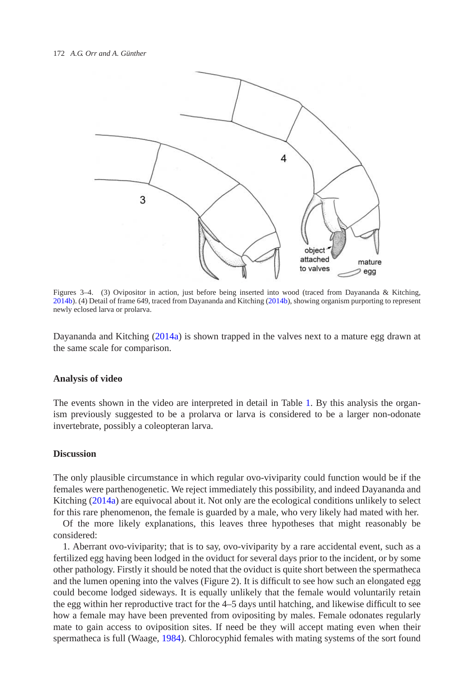

Figures 3–4. (3) Ovipositor in action, just before being inserted into wood (traced from Dayananda & Kitching, [2014b\)](#page-5-5). (4) Detail of frame 649, traced from Dayananda and Kitching [\(2014b\)](#page-5-5), showing organism purporting to represent newly eclosed larva or prolarva.

Dayananda and Kitching [\(2014a\)](#page-5-4) is shown trapped in the valves next to a mature egg drawn at the same scale for comparison.

### **Analysis of video**

The events shown in the video are interpreted in detail in Table [1.](#page-4-0) By this analysis the organism previously suggested to be a prolarva or larva is considered to be a larger non-odonate invertebrate, possibly a coleopteran larva.

## **Discussion**

The only plausible circumstance in which regular ovo-viviparity could function would be if the females were parthenogenetic. We reject immediately this possibility, and indeed Dayananda and Kitching [\(2014a\)](#page-5-4) are equivocal about it. Not only are the ecological conditions unlikely to select for this rare phenomenon, the female is guarded by a male, who very likely had mated with her.

Of the more likely explanations, this leaves three hypotheses that might reasonably be considered:

1. Aberrant ovo-viviparity; that is to say, ovo-viviparity by a rare accidental event, such as a fertilized egg having been lodged in the oviduct for several days prior to the incident, or by some other pathology. Firstly it should be noted that the oviduct is quite short between the spermatheca and the lumen opening into the valves (Figure 2). It is difficult to see how such an elongated egg could become lodged sideways. It is equally unlikely that the female would voluntarily retain the egg within her reproductive tract for the 4–5 days until hatching, and likewise difficult to see how a female may have been prevented from ovipositing by males. Female odonates regularly mate to gain access to oviposition sites. If need be they will accept mating even when their spermatheca is full (Waage, [1984\)](#page-5-11). Chlorocyphid females with mating systems of the sort found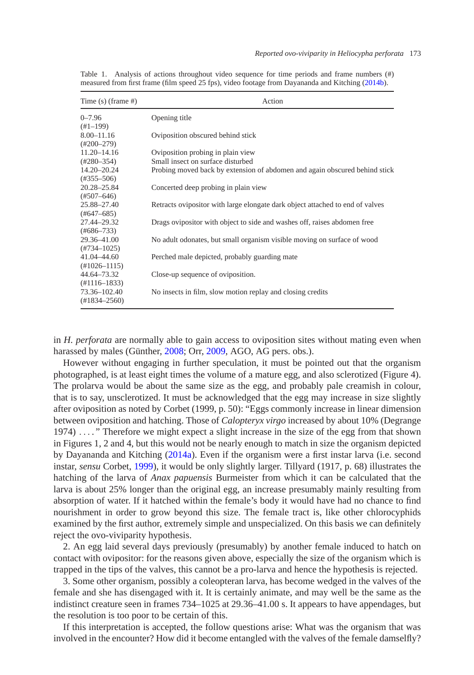| Time $(s)$ (frame #)   | Action                                                                        |
|------------------------|-------------------------------------------------------------------------------|
| $0 - 7.96$             | Opening title                                                                 |
| $(H1-199)$             |                                                                               |
| $8.00 - 11.16$         | Oviposition obscured behind stick                                             |
| $(\text{\#}200 - 279)$ |                                                                               |
| $11.20 - 14.16$        | Oviposition probing in plain view                                             |
| $(+280 - 354)$         | Small insect on surface disturbed                                             |
| $14.20 - 20.24$        | Probing moved back by extension of abdomen and again obscured behind stick    |
| $(#355 - 506)$         |                                                                               |
| 20.28-25.84            | Concerted deep probing in plain view                                          |
| $(\#507 - 646)$        |                                                                               |
| 25.88-27.40            | Retracts ovipositor with large elongate dark object attached to end of valves |
| (#647–685)             |                                                                               |
| 27.44-29.32            | Drags ovipositor with object to side and washes off, raises abdomen free      |
| $(#686 - 733)$         |                                                                               |
| 29.36-41.00            | No adult odonates, but small organism visible moving on surface of wood       |
| $(#734 - 1025)$        |                                                                               |
| 41.04 - 44.60          | Perched male depicted, probably guarding mate                                 |
| $(H1026 - 1115)$       |                                                                               |
| 44.64–73.32            | Close-up sequence of oviposition.                                             |
| $(H1116 - 1833)$       |                                                                               |
| 73.36-102.40           | No insects in film, slow motion replay and closing credits                    |
| $(H1834 - 2560)$       |                                                                               |

<span id="page-4-0"></span>Table 1. Analysis of actions throughout video sequence for time periods and frame numbers (#) measured from first frame (film speed 25 fps), video footage from Dayananda and Kitching [\(2014b\)](#page-5-5).

in *H. perforata* are normally able to gain access to oviposition sites without mating even when harassed by males (Günther, [2008;](#page-5-1) Orr, [2009,](#page-5-3) AGO, AG pers. obs.).

However without engaging in further speculation, it must be pointed out that the organism photographed, is at least eight times the volume of a mature egg, and also sclerotized (Figure 4). The prolarva would be about the same size as the egg, and probably pale creamish in colour, that is to say, unsclerotized. It must be acknowledged that the egg may increase in size slightly after oviposition as noted by Corbet (1999, p. 50): "Eggs commonly increase in linear dimension between oviposition and hatching. Those of *Calopteryx virgo* increased by about 10% (Degrange 1974) *...* . " Therefore we might expect a slight increase in the size of the egg from that shown in Figures 1, 2 and 4, but this would not be nearly enough to match in size the organism depicted by Dayananda and Kitching [\(2014a\)](#page-5-4). Even if the organism were a first instar larva (i.e. second instar, *sensu* Corbet, [1999\)](#page-5-12), it would be only slightly larger. Tillyard (1917, p. 68) illustrates the hatching of the larva of *Anax papuensis* Burmeister from which it can be calculated that the larva is about 25% longer than the original egg, an increase presumably mainly resulting from absorption of water. If it hatched within the female's body it would have had no chance to find nourishment in order to grow beyond this size. The female tract is, like other chlorocyphids examined by the first author, extremely simple and unspecialized. On this basis we can definitely reject the ovo-viviparity hypothesis.

2. An egg laid several days previously (presumably) by another female induced to hatch on contact with ovipositor: for the reasons given above, especially the size of the organism which is trapped in the tips of the valves, this cannot be a pro-larva and hence the hypothesis is rejected.

3. Some other organism, possibly a coleopteran larva, has become wedged in the valves of the female and she has disengaged with it. It is certainly animate, and may well be the same as the indistinct creature seen in frames 734–1025 at 29.36–41.00 s. It appears to have appendages, but the resolution is too poor to be certain of this.

If this interpretation is accepted, the follow questions arise: What was the organism that was involved in the encounter? How did it become entangled with the valves of the female damselfly?